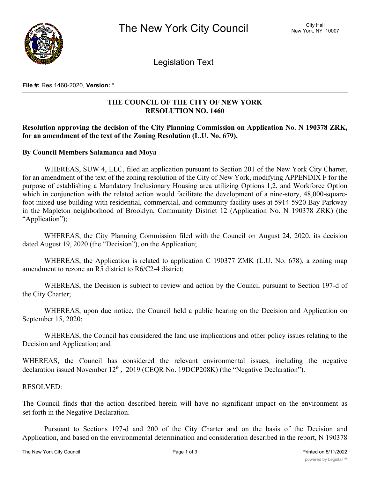

Legislation Text

**File #:** Res 1460-2020, **Version:** \*

# **THE COUNCIL OF THE CITY OF NEW YORK RESOLUTION NO. 1460**

# **Resolution approving the decision of the City Planning Commission on Application No. N 190378 ZRK, for an amendment of the text of the Zoning Resolution (L.U. No. 679).**

## **By Council Members Salamanca and Moya**

WHEREAS, SUW 4, LLC, filed an application pursuant to Section 201 of the New York City Charter, for an amendment of the text of the zoning resolution of the City of New York, modifying APPENDIX F for the purpose of establishing a Mandatory Inclusionary Housing area utilizing Options 1,2, and Workforce Option which in conjunction with the related action would facilitate the development of a nine-story, 48,000-squarefoot mixed-use building with residential, commercial, and community facility uses at 5914-5920 Bay Parkway in the Mapleton neighborhood of Brooklyn, Community District 12 (Application No. N 190378 ZRK) (the "Application");

WHEREAS, the City Planning Commission filed with the Council on August 24, 2020, its decision dated August 19, 2020 (the "Decision"), on the Application;

WHEREAS, the Application is related to application C 190377 ZMK (L.U. No. 678), a zoning map amendment to rezone an R5 district to R6/C2-4 district;

WHEREAS, the Decision is subject to review and action by the Council pursuant to Section 197-d of the City Charter;

WHEREAS, upon due notice, the Council held a public hearing on the Decision and Application on September 15, 2020;

WHEREAS, the Council has considered the land use implications and other policy issues relating to the Decision and Application; and

WHEREAS, the Council has considered the relevant environmental issues, including the negative declaration issued November 12<sup>th</sup>, 2019 (CEQR No. 19DCP208K) (the "Negative Declaration").

## RESOLVED:

The Council finds that the action described herein will have no significant impact on the environment as set forth in the Negative Declaration.

Pursuant to Sections 197-d and 200 of the City Charter and on the basis of the Decision and Application, and based on the environmental determination and consideration described in the report, N 190378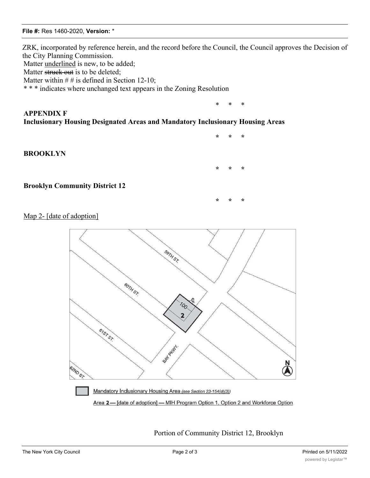#### **File #:** Res 1460-2020, **Version:** \*

ZRK, incorporated by reference herein, and the record before the Council, the Council approves the Decision of the City Planning Commission. Matter underlined is new, to be added; Matter struck out is to be deleted:

**\* \* \***

**\* \* \***

**\* \* \***

Matter within  $# #$  is defined in Section 12-10;

\* \* \* indicates where unchanged text appears in the Zoning Resolution

# \* \* \* **APPENDIX F Inclusionary Housing Designated Areas and Mandatory Inclusionary Housing Areas**

#### **BROOKLYN**



Map 2- [date of adoption]



Portion of Community District 12, Brooklyn